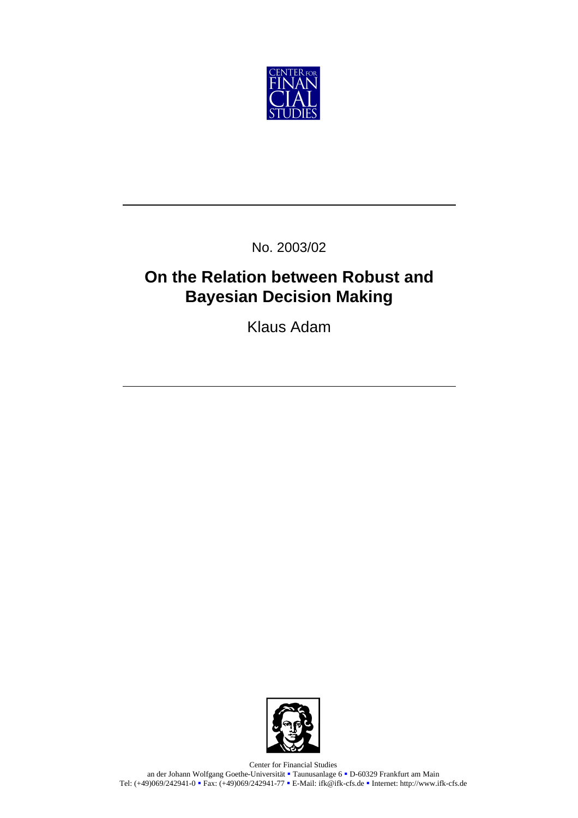

No. 2003/02

# **On the Relation between Robust and Bayesian Decision Making**

Klaus Adam



Center for Financial Studies an der Johann Wolfgang Goethe-Universität <sup>•</sup> Taunusanlage 6 • D-60329 Frankfurt am Main Tel: (+49)069/242941-0 Rax: (+49)069/242941-77 B-Mail: ifk@ifk-cfs.de Reflection http://www.ifk-cfs.de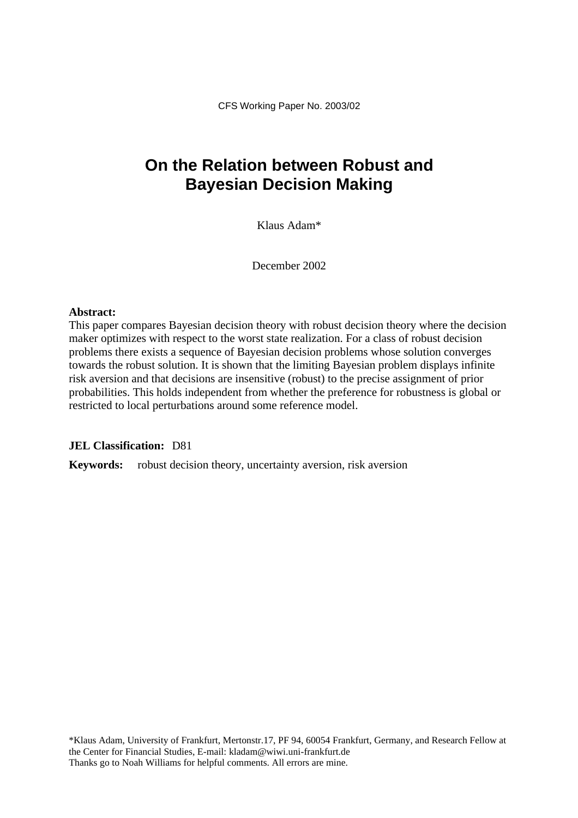CFS Working Paper No. 2003/02

## **On the Relation between Robust and Bayesian Decision Making**

Klaus Adam\*

December 2002

### **Abstract:**

This paper compares Bayesian decision theory with robust decision theory where the decision maker optimizes with respect to the worst state realization. For a class of robust decision problems there exists a sequence of Bayesian decision problems whose solution converges towards the robust solution. It is shown that the limiting Bayesian problem displays infinite risk aversion and that decisions are insensitive (robust) to the precise assignment of prior probabilities. This holds independent from whether the preference for robustness is global or restricted to local perturbations around some reference model.

### **JEL Classification:** D81

**Keywords:** robust decision theory, uncertainty aversion, risk aversion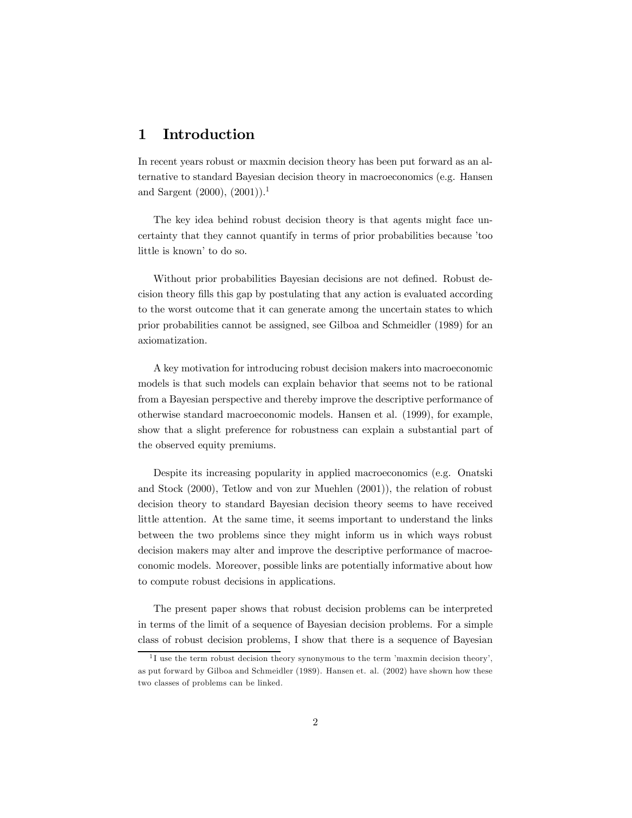### 1 Introduction

In recent years robust or maxmin decision theory has been put forward as an alternative to standard Bayesian decision theory in macroeconomics (e.g. Hansen and Sargent  $(2000)$ ,  $(2001)$ .<sup>1</sup>

The key idea behind robust decision theory is that agents might face uncertainty that they cannot quantify in terms of prior probabilities because ítoo little is known' to do so.

Without prior probabilities Bayesian decisions are not defined. Robust decision theory fills this gap by postulating that any action is evaluated according to the worst outcome that it can generate among the uncertain states to which prior probabilities cannot be assigned, see Gilboa and Schmeidler (1989) for an axiomatization.

A key motivation for introducing robust decision makers into macroeconomic models is that such models can explain behavior that seems not to be rational from a Bayesian perspective and thereby improve the descriptive performance of otherwise standard macroeconomic models. Hansen et al. (1999), for example, show that a slight preference for robustness can explain a substantial part of the observed equity premiums.

Despite its increasing popularity in applied macroeconomics (e.g. Onatski and Stock (2000), Tetlow and von zur Muehlen (2001)), the relation of robust decision theory to standard Bayesian decision theory seems to have received little attention. At the same time, it seems important to understand the links between the two problems since they might inform us in which ways robust decision makers may alter and improve the descriptive performance of macroeconomic models. Moreover, possible links are potentially informative about how to compute robust decisions in applications.

The present paper shows that robust decision problems can be interpreted in terms of the limit of a sequence of Bayesian decision problems. For a simple class of robust decision problems, I show that there is a sequence of Bayesian

 $1$  I use the term robust decision theory synonymous to the term 'maxmin decision theory', as put forward by Gilboa and Schmeidler (1989). Hansen et. al. (2002) have shown how these two classes of problems can be linked.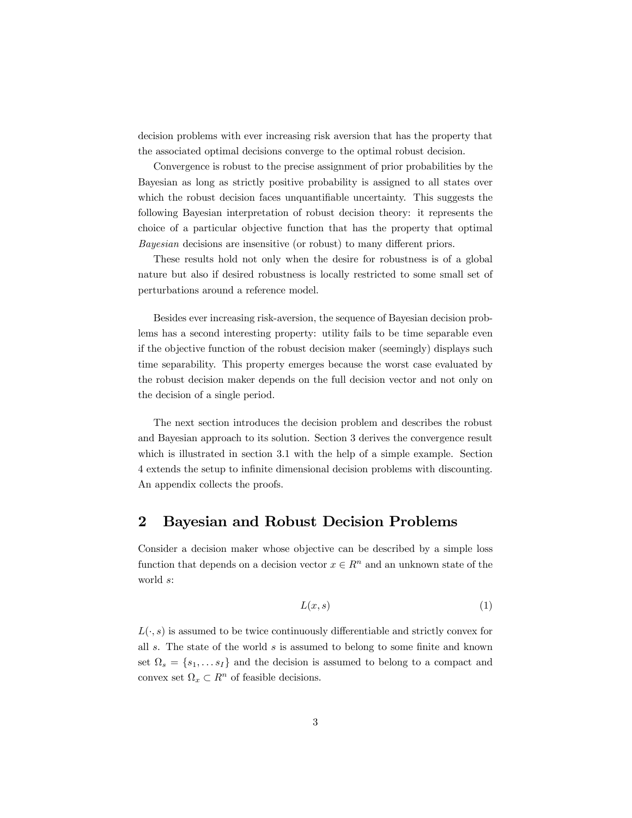decision problems with ever increasing risk aversion that has the property that the associated optimal decisions converge to the optimal robust decision.

Convergence is robust to the precise assignment of prior probabilities by the Bayesian as long as strictly positive probability is assigned to all states over which the robust decision faces unquantifiable uncertainty. This suggests the following Bayesian interpretation of robust decision theory: it represents the choice of a particular objective function that has the property that optimal Bayesian decisions are insensitive (or robust) to many different priors.

These results hold not only when the desire for robustness is of a global nature but also if desired robustness is locally restricted to some small set of perturbations around a reference model.

Besides ever increasing risk-aversion, the sequence of Bayesian decision problems has a second interesting property: utility fails to be time separable even if the objective function of the robust decision maker (seemingly) displays such time separability. This property emerges because the worst case evaluated by the robust decision maker depends on the full decision vector and not only on the decision of a single period.

The next section introduces the decision problem and describes the robust and Bayesian approach to its solution. Section 3 derives the convergence result which is illustrated in section 3.1 with the help of a simple example. Section 4 extends the setup to infinite dimensional decision problems with discounting. An appendix collects the proofs.

### 2 Bayesian and Robust Decision Problems

Consider a decision maker whose objective can be described by a simple loss function that depends on a decision vector  $x \in \mathbb{R}^n$  and an unknown state of the world s:

$$
L(x,s) \tag{1}
$$

 $L(\cdot, s)$  is assumed to be twice continuously differentiable and strictly convex for all  $s$ . The state of the world  $s$  is assumed to belong to some finite and known set  $\Omega_s = \{s_1, \ldots s_I\}$  and the decision is assumed to belong to a compact and convex set  $\Omega_x \subset R^n$  of feasible decisions.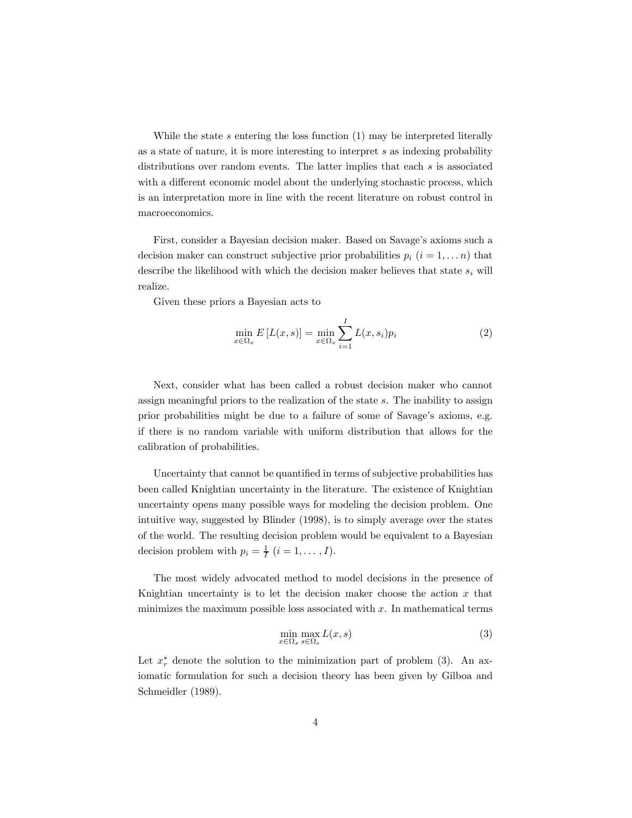While the state  $s$  entering the loss function  $(1)$  may be interpreted literally as a state of nature, it is more interesting to interpret s as indexing probability distributions over random events. The latter implies that each s is associated with a different economic model about the underlying stochastic process, which is an interpretation more in line with the recent literature on robust control in macroeconomics.

First, consider a Bayesian decision maker. Based on Savage's axioms such a decision maker can construct subjective prior probabilities  $p_i$   $(i = 1, \ldots n)$  that describe the likelihood with which the decision maker believes that state  $s_i$  will realize.

Given these priors a Bayesian acts to

$$
\min_{x \in \Omega_x} E\left[L(x, s)\right] = \min_{x \in \Omega_x} \sum_{i=1}^I L(x, s_i) p_i \tag{2}
$$

Next, consider what has been called a robust decision maker who cannot assign meaningful priors to the realization of the state s. The inability to assign prior probabilities might be due to a failure of some of Savage's axioms, e.g. if there is no random variable with uniform distribution that allows for the calibration of probabilities.

Uncertainty that cannot be quantified in terms of subjective probabilities has been called Knightian uncertainty in the literature. The existence of Knightian uncertainty opens many possible ways for modeling the decision problem. One intuitive way, suggested by Blinder (1998), is to simply average over the states of the world. The resulting decision problem would be equivalent to a Bayesian decision problem with  $p_i = \frac{1}{I}$   $(i = 1, \ldots, I)$ .

The most widely advocated method to model decisions in the presence of Knightian uncertainty is to let the decision maker choose the action  $x$  that minimizes the maximum possible loss associated with  $x$ . In mathematical terms

$$
\min_{x \in \Omega_x} \max_{s \in \Omega_s} L(x, s) \tag{3}
$$

Let  $x_r^*$  denote the solution to the minimization part of problem (3). An axiomatic formulation for such a decision theory has been given by Gilboa and Schmeidler (1989).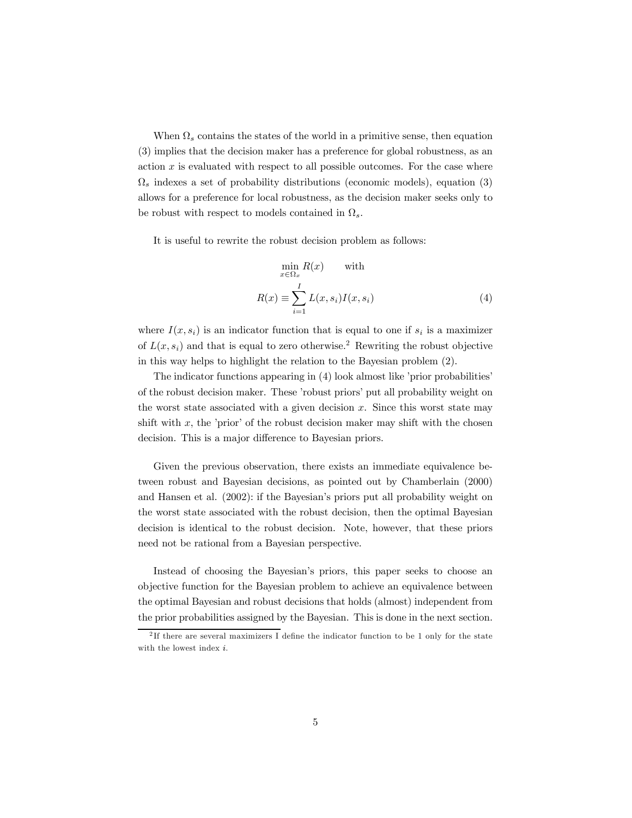When  $\Omega_s$  contains the states of the world in a primitive sense, then equation (3) implies that the decision maker has a preference for global robustness, as an action  $x$  is evaluated with respect to all possible outcomes. For the case where  $\Omega_s$  indexes a set of probability distributions (economic models), equation (3) allows for a preference for local robustness, as the decision maker seeks only to be robust with respect to models contained in  $\Omega_s$ .

It is useful to rewrite the robust decision problem as follows:

$$
\min_{x \in \Omega_x} R(x) \quad \text{with}
$$
\n
$$
R(x) \equiv \sum_{i=1}^{I} L(x, s_i) I(x, s_i)
$$
\n(4)

where  $I(x, s_i)$  is an indicator function that is equal to one if  $s_i$  is a maximizer of  $L(x, s_i)$  and that is equal to zero otherwise.<sup>2</sup> Rewriting the robust objective in this way helps to highlight the relation to the Bayesian problem (2).

The indicator functions appearing in  $(4)$  look almost like 'prior probabilities' of the robust decision maker. These 'robust priors' put all probability weight on the worst state associated with a given decision  $x$ . Since this worst state may shift with x, the 'prior' of the robust decision maker may shift with the chosen decision. This is a major difference to Bayesian priors.

Given the previous observation, there exists an immediate equivalence between robust and Bayesian decisions, as pointed out by Chamberlain (2000) and Hansen et al. (2002): if the Bayesian's priors put all probability weight on the worst state associated with the robust decision, then the optimal Bayesian decision is identical to the robust decision. Note, however, that these priors need not be rational from a Bayesian perspective.

Instead of choosing the Bayesian's priors, this paper seeks to choose an objective function for the Bayesian problem to achieve an equivalence between the optimal Bayesian and robust decisions that holds (almost) independent from the prior probabilities assigned by the Bayesian. This is done in the next section.

<sup>&</sup>lt;sup>2</sup>If there are several maximizers I define the indicator function to be 1 only for the state with the lowest index *i*.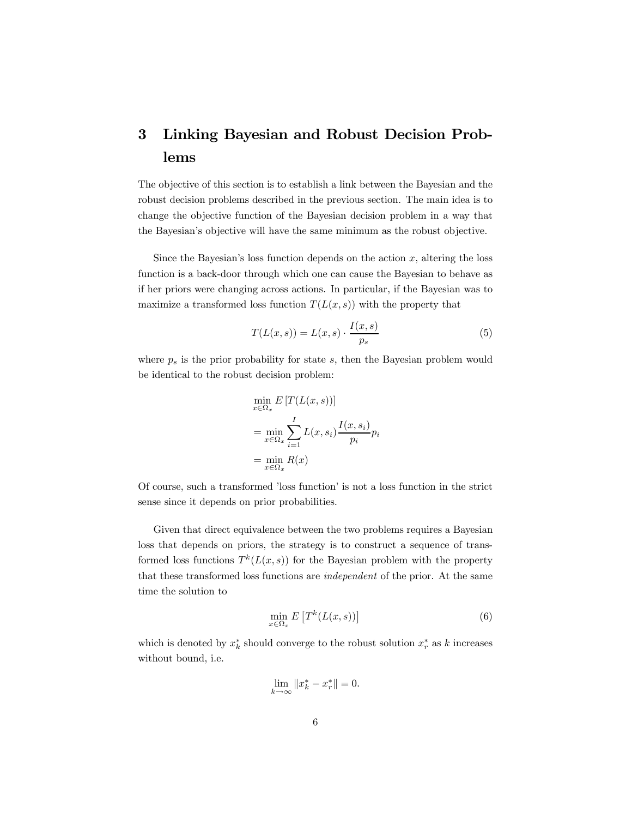### 3 Linking Bayesian and Robust Decision Problems

The objective of this section is to establish a link between the Bayesian and the robust decision problems described in the previous section. The main idea is to change the objective function of the Bayesian decision problem in a way that the Bayesianís objective will have the same minimum as the robust objective.

Since the Bayesian's loss function depends on the action  $x$ , altering the loss function is a back-door through which one can cause the Bayesian to behave as if her priors were changing across actions. In particular, if the Bayesian was to maximize a transformed loss function  $T(L(x, s))$  with the property that

$$
T(L(x,s)) = L(x,s) \cdot \frac{I(x,s)}{p_s} \tag{5}
$$

where  $p_s$  is the prior probability for state s, then the Bayesian problem would be identical to the robust decision problem:

$$
\min_{x \in \Omega_x} E[T(L(x, s))]
$$
\n
$$
= \min_{x \in \Omega_x} \sum_{i=1}^{I} L(x, s_i) \frac{I(x, s_i)}{p_i} p_i
$$
\n
$$
= \min_{x \in \Omega_x} R(x)
$$

Of course, such a transformed 'loss function' is not a loss function in the strict sense since it depends on prior probabilities.

Given that direct equivalence between the two problems requires a Bayesian loss that depends on priors, the strategy is to construct a sequence of transformed loss functions  $T^k(L(x, s))$  for the Bayesian problem with the property that these transformed loss functions are independent of the prior. At the same time the solution to

$$
\min_{x \in \Omega_x} E\left[T^k(L(x, s))\right] \tag{6}
$$

which is denoted by  $x_k^*$  should converge to the robust solution  $x_r^*$  as k increases without bound, i.e.

$$
\lim_{k \to \infty} \|x_k^* - x_r^*\| = 0.
$$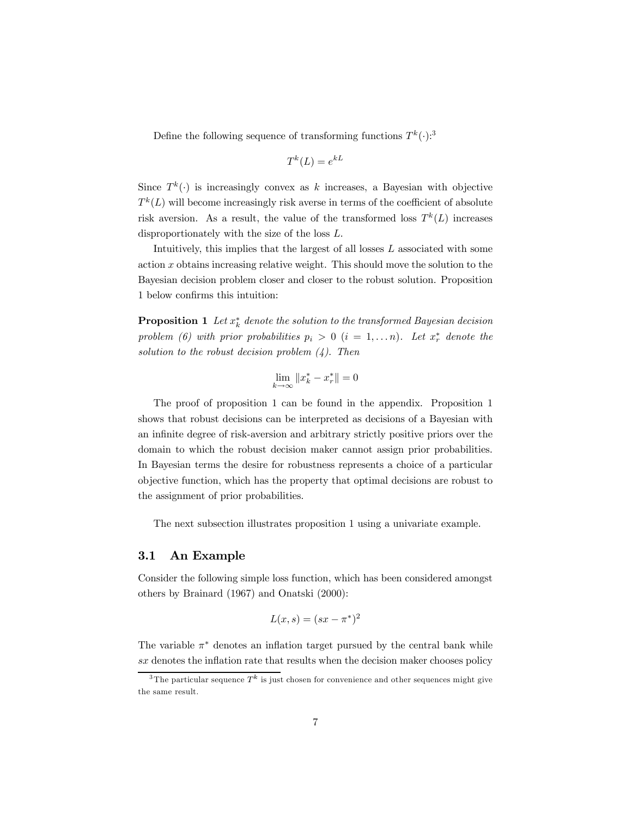Define the following sequence of transforming functions  $T^k(\cdot)$ :<sup>3</sup>

$$
T^k(L) = e^{kL}
$$

Since  $T^k(.)$  is increasingly convex as k increases, a Bayesian with objective  $T^{k}(L)$  will become increasingly risk averse in terms of the coefficient of absolute risk aversion. As a result, the value of the transformed loss  $T^k(L)$  increases disproportionately with the size of the loss L.

Intuitively, this implies that the largest of all losses  $L$  associated with some action x obtains increasing relative weight. This should move the solution to the Bayesian decision problem closer and closer to the robust solution. Proposition 1 below confirms this intuition:

**Proposition 1** Let  $x_k^*$  denote the solution to the transformed Bayesian decision problem (6) with prior probabilities  $p_i > 0$   $(i = 1, \ldots n)$ . Let  $x_r^*$  denote the solution to the robust decision problem  $(4)$ . Then

$$
\lim_{k \to \infty} ||x_k^* - x_r^*|| = 0
$$

The proof of proposition 1 can be found in the appendix. Proposition 1 shows that robust decisions can be interpreted as decisions of a Bayesian with an infinite degree of risk-aversion and arbitrary strictly positive priors over the domain to which the robust decision maker cannot assign prior probabilities. In Bayesian terms the desire for robustness represents a choice of a particular objective function, which has the property that optimal decisions are robust to the assignment of prior probabilities.

The next subsection illustrates proposition 1 using a univariate example.

#### 3.1 An Example

Consider the following simple loss function, which has been considered amongst others by Brainard (1967) and Onatski (2000):

$$
L(x,s) = (sx - \pi^*)^2
$$

The variable  $\pi^*$  denotes an inflation target pursued by the central bank while sx denotes the inflation rate that results when the decision maker chooses policy

 $\frac{3}{3}$ The particular sequence  $T^k$  is just chosen for convenience and other sequences might give the same result.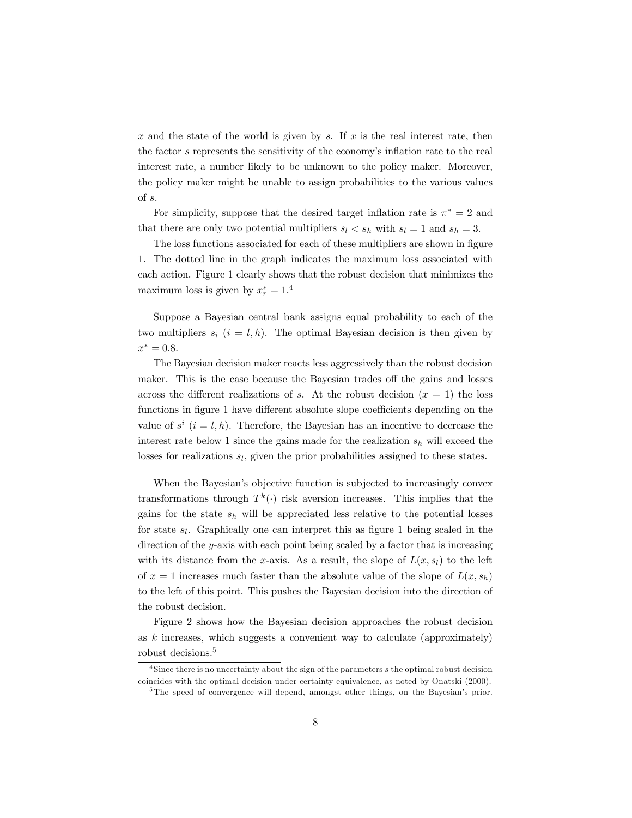x and the state of the world is given by s. If  $x$  is the real interest rate, then the factor s represents the sensitivity of the economy's inflation rate to the real interest rate, a number likely to be unknown to the policy maker. Moreover, the policy maker might be unable to assign probabilities to the various values of s.

For simplicity, suppose that the desired target inflation rate is  $\pi^* = 2$  and that there are only two potential multipliers  $s_l < s_h$  with  $s_l = 1$  and  $s_h = 3$ .

The loss functions associated for each of these multipliers are shown in figure 1. The dotted line in the graph indicates the maximum loss associated with each action. Figure 1 clearly shows that the robust decision that minimizes the maximum loss is given by  $x_r^* = 1.4$ 

Suppose a Bayesian central bank assigns equal probability to each of the two multipliers  $s_i$   $(i = l, h)$ . The optimal Bayesian decision is then given by  $x^* = 0.8$ .

The Bayesian decision maker reacts less aggressively than the robust decision maker. This is the case because the Bayesian trades off the gains and losses across the different realizations of s. At the robust decision  $(x = 1)$  the loss functions in figure 1 have different absolute slope coefficients depending on the value of  $s^i$   $(i = l, h)$ . Therefore, the Bayesian has an incentive to decrease the interest rate below 1 since the gains made for the realization  $s_h$  will exceed the losses for realizations  $s_l$ , given the prior probabilities assigned to these states.

When the Bayesian's objective function is subjected to increasingly convex transformations through  $T^k(\cdot)$  risk aversion increases. This implies that the gains for the state  $s_h$  will be appreciated less relative to the potential losses for state  $s_l$ . Graphically one can interpret this as figure 1 being scaled in the direction of the y-axis with each point being scaled by a factor that is increasing with its distance from the x-axis. As a result, the slope of  $L(x, s<sub>l</sub>)$  to the left of  $x = 1$  increases much faster than the absolute value of the slope of  $L(x, s_h)$ to the left of this point. This pushes the Bayesian decision into the direction of the robust decision.

Figure 2 shows how the Bayesian decision approaches the robust decision as  $k$  increases, which suggests a convenient way to calculate (approximately) robust decisions.<sup>5</sup>

 $4$ Since there is no uncertainty about the sign of the parameters  $s$  the optimal robust decision coincides with the optimal decision under certainty equivalence, as noted by Onatski (2000).

<sup>&</sup>lt;sup>5</sup>The speed of convergence will depend, amongst other things, on the Bayesian's prior.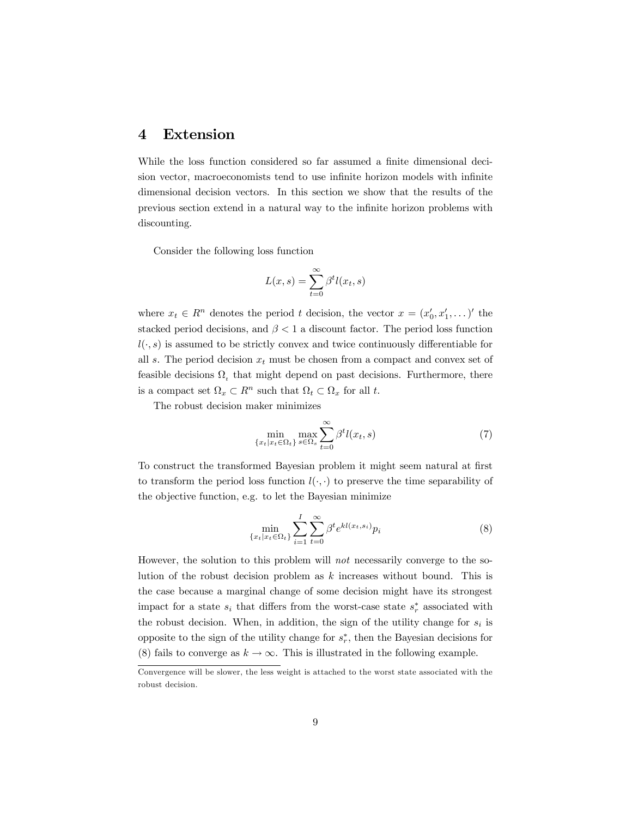### 4 Extension

While the loss function considered so far assumed a finite dimensional decision vector, macroeconomists tend to use infinite horizon models with infinite dimensional decision vectors. In this section we show that the results of the previous section extend in a natural way to the infinite horizon problems with discounting.

Consider the following loss function

$$
L(x,s) = \sum_{t=0}^{\infty} \beta^t l(x_t, s)
$$

where  $x_t \in R^n$  denotes the period t decision, the vector  $x = (x'_0, x'_1, \dots)'$  the stacked period decisions, and  $\beta < 1$  a discount factor. The period loss function  $l(\cdot, s)$  is assumed to be strictly convex and twice continuously differentiable for all s. The period decision  $x_t$  must be chosen from a compact and convex set of feasible decisions  $\Omega_t$ , that might depend on past decisions. Furthermore, there is a compact set  $\Omega_x \subset R^n$  such that  $\Omega_t \subset \Omega_x$  for all t.

The robust decision maker minimizes

$$
\min_{\{x_t | x_t \in \Omega_t\}} \max_{s \in \Omega_s} \sum_{t=0}^{\infty} \beta^t l(x_t, s) \tag{7}
$$

To construct the transformed Bayesian problem it might seem natural at first to transform the period loss function  $l(\cdot, \cdot)$  to preserve the time separability of the objective function, e.g. to let the Bayesian minimize

$$
\min_{\{x_t | x_t \in \Omega_t\}} \sum_{i=1}^I \sum_{t=0}^\infty \beta^t e^{kl(x_t, s_i)} p_i \tag{8}
$$

However, the solution to this problem will *not* necessarily converge to the solution of the robust decision problem as  $k$  increases without bound. This is the case because a marginal change of some decision might have its strongest impact for a state  $s_i$  that differs from the worst-case state  $s_r^*$  associated with the robust decision. When, in addition, the sign of the utility change for  $s_i$  is opposite to the sign of the utility change for  $s_r^*$ , then the Bayesian decisions for (8) fails to converge as  $k \to \infty$ . This is illustrated in the following example.

Convergence will be slower, the less weight is attached to the worst state associated with the robust decision.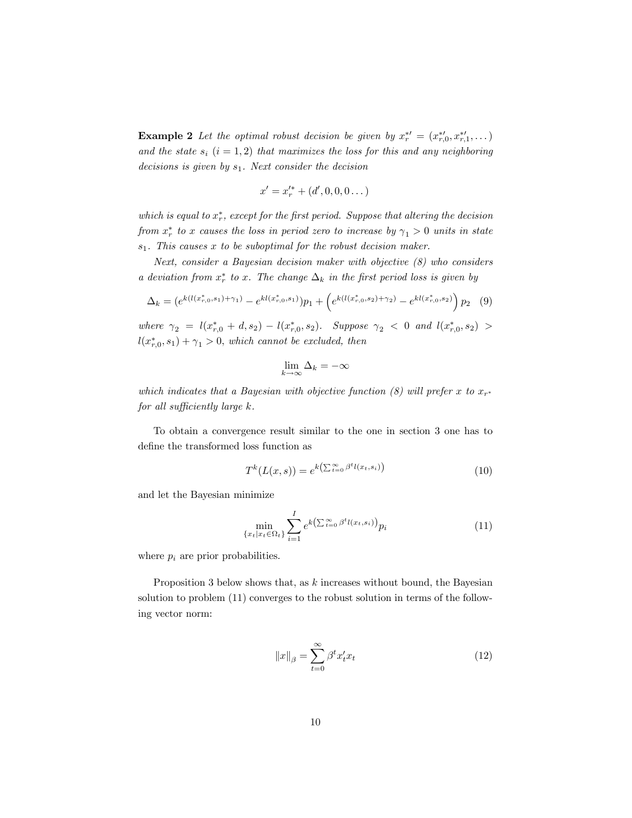**Example 2** Let the optimal robust decision be given by  $x_r^{*} = (x_{r,0}^{*}, x_{r,1}^{*}, \dots)$ and the state  $s_i$   $(i = 1, 2)$  that maximizes the loss for this and any neighboring decisions is given by  $s_1$ . Next consider the decision

$$
x' = x'^{*}_{r} + (d', 0, 0, 0 \dots)
$$

which is equal to  $x_r^*$ , except for the first period. Suppose that altering the decision from  $x_r^*$  to x causes the loss in period zero to increase by  $\gamma_1 > 0$  units in state  $s_1$ . This causes x to be suboptimal for the robust decision maker.

Next, consider a Bayesian decision maker with objective (8) who considers a deviation from  $x_r^*$  to x. The change  $\Delta_k$  in the first period loss is given by

$$
\Delta_k = \left(e^{k(l(x_{r,0}^*,s_1)+\gamma_1)} - e^{kl(x_{r,0}^*,s_1)}\right)p_1 + \left(e^{k(l(x_{r,0}^*,s_2)+\gamma_2)} - e^{kl(x_{r,0}^*,s_2)}\right)p_2 \tag{9}
$$

where  $\gamma_2 = l(x_{r,0}^* + d, s_2) - l(x_{r,0}^*, s_2)$ . Suppose  $\gamma_2 < 0$  and  $l(x_{r,0}^*, s_2)$  >  $l(x_{r,0}^*,s_1) + \gamma_1 > 0$ , which cannot be excluded, then

$$
\lim_{k \to \infty} \Delta_k = -\infty
$$

which indicates that a Bayesian with objective function (8) will prefer x to  $x_{r^*}$ for all sufficiently large k.

To obtain a convergence result similar to the one in section 3 one has to define the transformed loss function as

$$
T^{k}(L(x,s)) = e^{k\left(\sum_{t=0}^{\infty} \beta^{t}l(x_{t},s_{i})\right)}
$$
\n
$$
(10)
$$

and let the Bayesian minimize

$$
\min_{\{x_t | x_t \in \Omega_t\}} \sum_{i=1}^I e^{k\left(\sum_{t=0}^\infty \beta^t l(x_t, s_i)\right)} p_i \tag{11}
$$

where  $p_i$  are prior probabilities.

Proposition 3 below shows that, as k increases without bound, the Bayesian solution to problem (11) converges to the robust solution in terms of the following vector norm:

$$
||x||_{\beta} = \sum_{t=0}^{\infty} \beta^t x'_t x_t
$$
\n(12)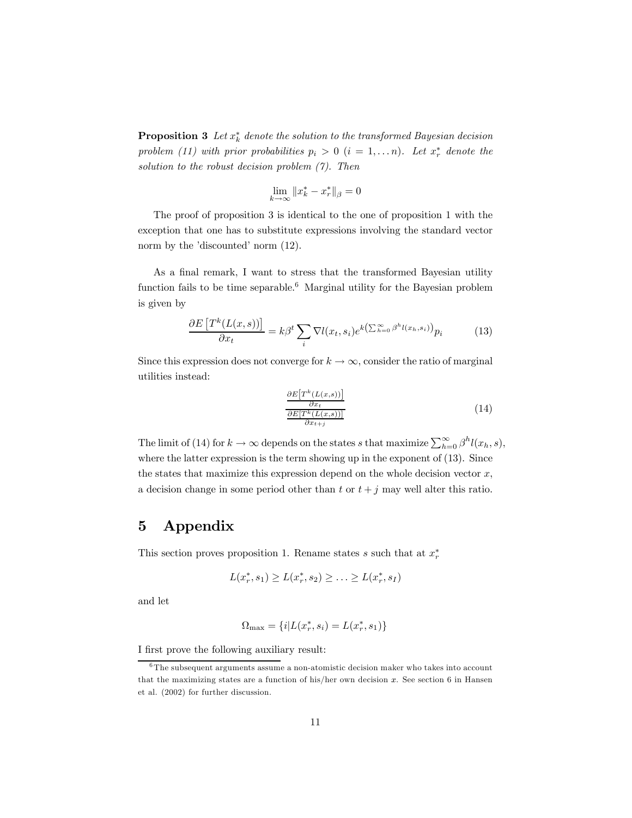**Proposition 3** Let  $x_k^*$  denote the solution to the transformed Bayesian decision problem (11) with prior probabilities  $p_i > 0$   $(i = 1, \ldots n)$ . Let  $x_r^*$  denote the solution to the robust decision problem  $(7)$ . Then

$$
\lim_{k \to \infty} \|x_k^* - x_r^*\|_{\beta} = 0
$$

The proof of proposition 3 is identical to the one of proposition 1 with the exception that one has to substitute expressions involving the standard vector norm by the 'discounted' norm  $(12)$ .

As a final remark, I want to stress that the transformed Bayesian utility function fails to be time separable.<sup>6</sup> Marginal utility for the Bayesian problem is given by

$$
\frac{\partial E\left[T^k(L(x,s))\right]}{\partial x_t} = k\beta^t \sum_i \nabla l(x_t, s_i) e^{k\left(\sum_{h=0}^{\infty} \beta^h l(x_h, s_i)\right)} p_i \tag{13}
$$

Since this expression does not converge for  $k \to \infty$ , consider the ratio of marginal utilities instead:

$$
\frac{\partial E[T^k(L(x,s))]}{\partial x_t} \frac{\partial x_t}{\partial x_{t+j}}
$$
\n(14)

The limit of (14) for  $k \to \infty$  depends on the states s that maximize  $\sum_{h=0}^{\infty} \beta^h l(x_h, s)$ , where the latter expression is the term showing up in the exponent of (13). Since the states that maximize this expression depend on the whole decision vector  $x$ , a decision change in some period other than t or  $t + j$  may well alter this ratio.

### 5 Appendix

This section proves proposition 1. Rename states s such that at  $x_r^*$ 

$$
L(x_r^*, s_1) \ge L(x_r^*, s_2) \ge \ldots \ge L(x_r^*, s_I)
$$

and let

$$
\Omega_{\text{max}} = \{i | L(x_r^*, s_i) = L(x_r^*, s_1)\}
$$

I first prove the following auxiliary result:

 $\overline{6}$ The subsequent arguments assume a non-atomistic decision maker who takes into account that the maximizing states are a function of his/her own decision  $x$ . See section 6 in Hansen et al. (2002) for further discussion.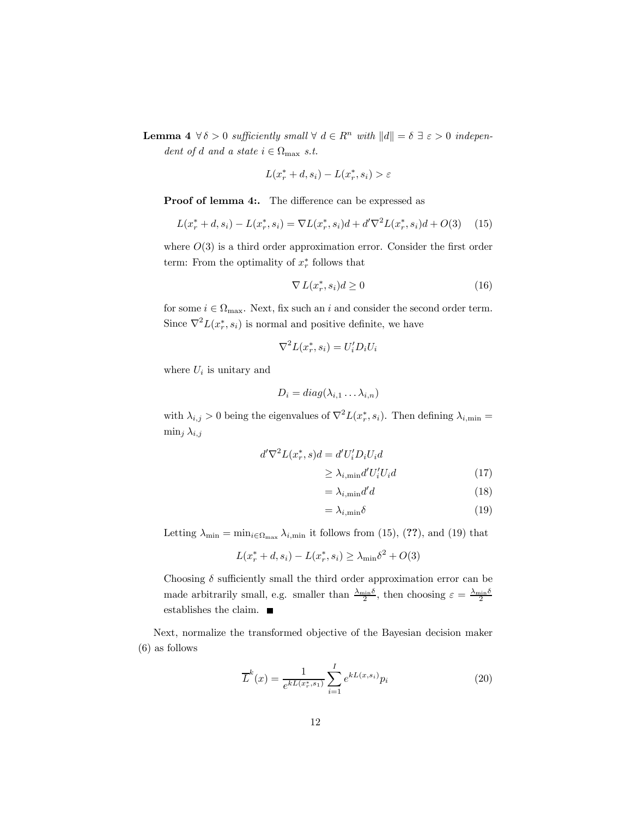**Lemma 4**  $\forall \delta > 0$  sufficiently small  $\forall d \in R^n$  with  $||d|| = \delta \exists \varepsilon > 0$  independent of d and a state  $i \in \Omega_{\text{max}}$  s.t.

$$
L(x_r^* + d, s_i) - L(x_r^*, s_i) > \varepsilon
$$

Proof of lemma 4:. The difference can be expressed as

$$
L(x_r^* + d, s_i) - L(x_r^*, s_i) = \nabla L(x_r^*, s_i) + d' \nabla^2 L(x_r^*, s_i) + O(3) \tag{15}
$$

where  $O(3)$  is a third order approximation error. Consider the first order term: From the optimality of  $x_r^*$  follows that

$$
\nabla L(x_r^*, s_i) \, \geq 0 \tag{16}
$$

for some  $i \in \Omega_{\text{max}}$ . Next, fix such an i and consider the second order term. Since  $\nabla^2 L(x_r^*, s_i)$  is normal and positive definite, we have

$$
\nabla^2 L(x_r^*, s_i) = U_i' D_i U_i
$$

where  $U_i$  is unitary and

$$
D_i = diag(\lambda_{i,1} \dots \lambda_{i,n})
$$

with  $\lambda_{i,j} > 0$  being the eigenvalues of  $\nabla^2 L(x_r^*, s_i)$ . Then defining  $\lambda_{i,\text{min}} =$  $\min_j \lambda_{i,j}$ 

$$
d'\nabla^2 L(x_r^*, s)d = d'U_i'D_iU_id
$$
  

$$
\geq \lambda_{i,\min} d'U_i'U_id
$$
 (17)

$$
=\lambda_{i,\min}d'd\tag{18}
$$

$$
=\lambda_{i,\min}\delta\tag{19}
$$

Letting  $\lambda_{\min} = \min_{i \in \Omega_{\max}} \lambda_{i,\min}$  it follows from (15), (??), and (19) that

$$
L(x_r^* + d, s_i) - L(x_r^*, s_i) \ge \lambda_{\min} \delta^2 + O(3)
$$

Choosing  $\delta$  sufficiently small the third order approximation error can be made arbitrarily small, e.g. smaller than  $\frac{\lambda_{\min}\delta}{2}$ , then choosing  $\varepsilon = \frac{\lambda_{\min}\delta}{2}$ establishes the claim.

Next, normalize the transformed objective of the Bayesian decision maker (6) as follows

$$
\overline{L}^{k}(x) = \frac{1}{e^{kL(x_{r}^{*}, s_{1})}} \sum_{i=1}^{I} e^{kL(x, s_{i})} p_{i}
$$
\n(20)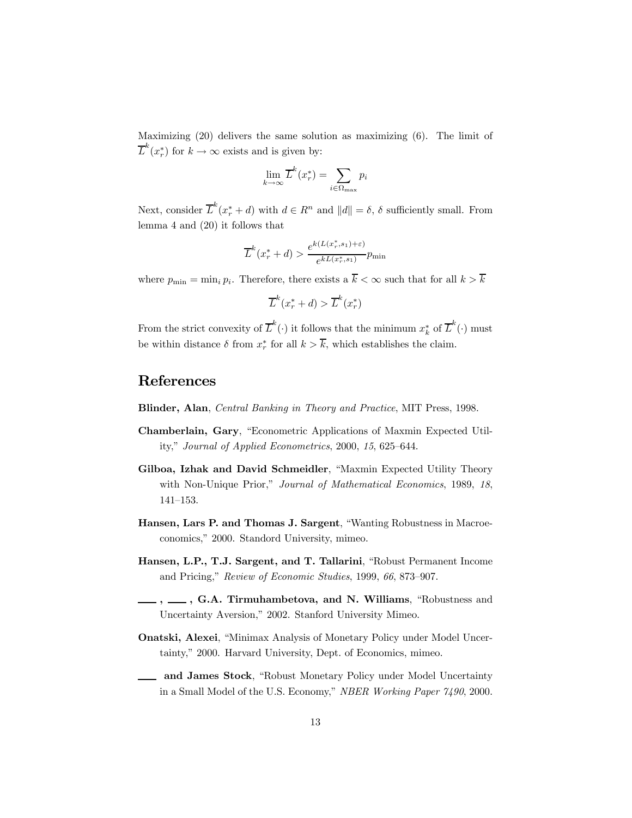Maximizing (20) delivers the same solution as maximizing (6). The limit of  $\overline{L}^k(x_r^*)$  for  $k \to \infty$  exists and is given by:

$$
\lim_{k \to \infty} \overline{L}^k(x_r^*) = \sum_{i \in \Omega_{\text{max}}} p_i
$$

Next, consider  $\overline{L}^k(x^*_{r} + d)$  with  $d \in R^n$  and  $||d|| = \delta$ ,  $\delta$  sufficiently small. From lemma 4 and (20) it follows that

$$
\overline{L}^k(x_r^* + d) > \frac{e^{k(L(x_r^*, s_1) + \varepsilon)}}{e^{kL(x_r^*, s_1)}} p_{\min}
$$

where  $p_{\min} = \min_i p_i$ . Therefore, there exists a  $\overline{k} < \infty$  such that for all  $k > \overline{k}$ 

$$
\overline{L}^k(x_r^* + d) > \overline{L}^k(x_r^*)
$$

From the strict convexity of  $\overline{L}^k(\cdot)$  it follows that the minimum  $x_k^*$  of  $\overline{L}^k(\cdot)$  must be within distance  $\delta$  from  $x_r^*$  for all  $k > k$ , which establishes the claim.

### References

Blinder, Alan, Central Banking in Theory and Practice, MIT Press, 1998.

- Chamberlain, Gary, "Econometric Applications of Maxmin Expected Utility," Journal of Applied Econometrics, 2000, 15, 625-644.
- Gilboa, Izhak and David Schmeidler, "Maxmin Expected Utility Theory with Non-Unique Prior," Journal of Mathematical Economics, 1989, 18,  $141 - 153.$
- Hansen, Lars P. and Thomas J. Sargent, "Wanting Robustness in Macroeconomics," 2000. Standord University, mimeo.
- Hansen, L.P., T.J. Sargent, and T. Tallarini, "Robust Permanent Income and Pricing," Review of Economic Studies, 1999, 66, 873-907.
- $_$ ,  $_$ , G.A. Tirmuhambetova, and N. Williams, "Robustness and Uncertainty Aversion," 2002. Stanford University Mimeo.
- **Onatski, Alexei**, "Minimax Analysis of Monetary Policy under Model Uncertainty," 2000. Harvard University, Dept. of Economics, mimeo.
- and James Stock, "Robust Monetary Policy under Model Uncertainty in a Small Model of the U.S. Economy," NBER Working Paper 7490, 2000.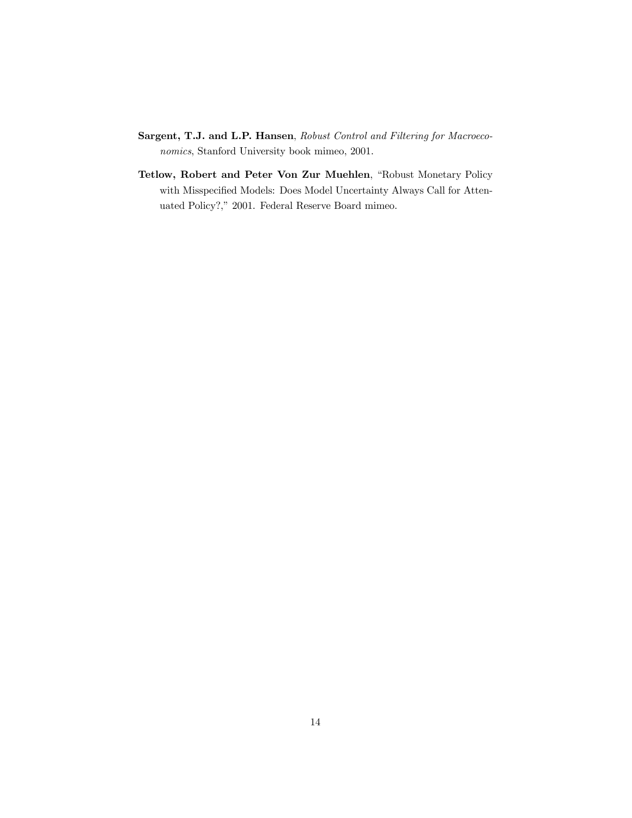- Sargent, T.J. and L.P. Hansen, Robust Control and Filtering for Macroeconomics, Stanford University book mimeo, 2001.
- Tetlow, Robert and Peter Von Zur Muehlen, "Robust Monetary Policy with Misspecified Models: Does Model Uncertainty Always Call for Attenuated Policy?," 2001. Federal Reserve Board mimeo.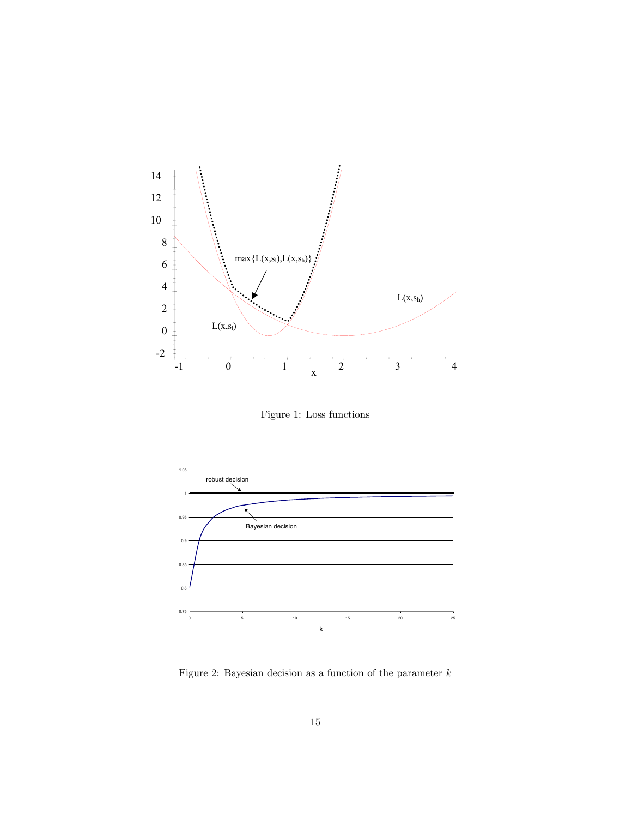

Figure 1: Loss functions



Figure 2: Bayesian decision as a function of the parameter  $\boldsymbol{k}$